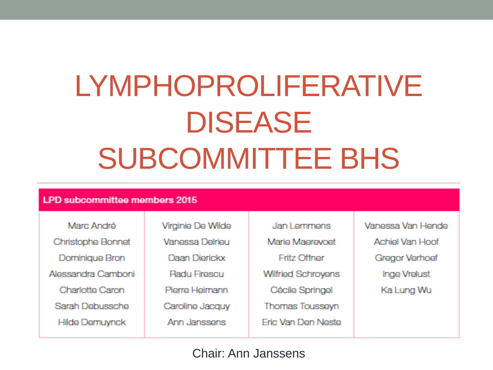# LYMPHOPROLIFERATIVE DISEASE SUBCOMMITTEE BHS

#### LPD subcommittee members 2015

Marc André Christophe Bonnet Dominique Bron Alessandra Camboni. Charlotte Caron Sarah Debussche **Hilde Demuynck** 

Virginie De Wilde **Vanossa Dolriou** Daan Dierickx **Radu Firescu** Pierre Heimann Caroline Jacquy Ann Janssens

Jan Lemmens Mario Maprovnot Fritz Offner **Wilfried Schrovens** Cécile Springel **Thomas Tousseyn** Fric Van Den Neste Vanessa Van Hende Achiel Van Hoof Gregor Verhoef **Inge Vrelust** Ka Lung Wu

#### Chair: Ann Janssens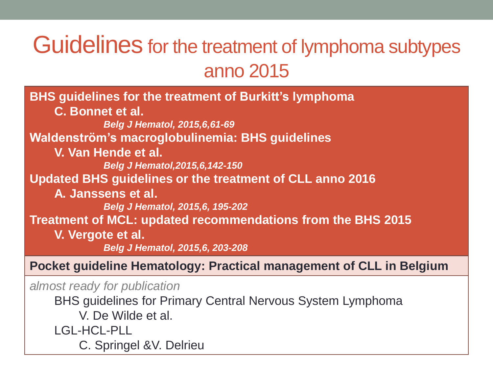### Guidelines for the treatment of lymphoma subtypes anno 2015

**BHS guidelines for the treatment of Burkitt's lymphoma C. Bonnet et al.** *Belg J Hematol, 2015,6,61-69* **Waldenström's macroglobulinemia: BHS guidelines V. Van Hende et al.** *Belg J Hematol,2015,6,142-150* **Updated BHS guidelines or the treatment of CLL anno 2016 A. Janssens et al.** *Belg J Hematol, 2015,6, 195-202* **Treatment of MCL: updated recommendations from the BHS 2015 V. Vergote et al.** *Belg J Hematol, 2015,6, 203-208*

**Pocket guideline Hematology: Practical management of CLL in Belgium**

*almost ready for publication*

BHS guidelines for Primary Central Nervous System Lymphoma

V. De Wilde et al.

LGL-HCL-PLL

C. Springel &V. Delrieu